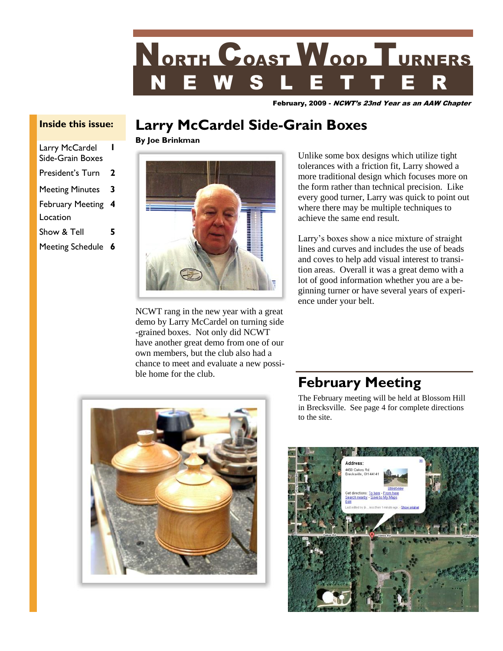

February, 2009 - NCWT's 23nd Year as an AAW Chapter

# **Larry McCardel Side-Grain Boxes**

**By Joe Brinkman**



NCWT rang in the new year with a great demo by Larry McCardel on turning side -grained boxes. Not only did NCWT have another great demo from one of our own members, but the club also had a chance to meet and evaluate a new possible home for the club.

Unlike some box designs which utilize tight tolerances with a friction fit, Larry showed a more traditional design which focuses more on the form rather than technical precision. Like every good turner, Larry was quick to point out where there may be multiple techniques to achieve the same end result.

Larry's boxes show a nice mixture of straight lines and curves and includes the use of beads and coves to help add visual interest to transition areas. Overall it was a great demo with a lot of good information whether you are a beginning turner or have several years of experience under your belt.



## **February Meeting**

The February meeting will be held at Blossom Hill in Brecksville. See page 4 for complete directions to the site.



# **Inside this issue:**

| Larry McCardel<br>Side-Grain Boxes |   |
|------------------------------------|---|
| President's Turn                   | 2 |
| <b>Meeting Minutes</b>             | 3 |
| <b>February Meeting</b>            | 4 |
| Location                           |   |
| Show & Tell                        | 5 |
| <b>Meeting Schedule</b>            | 6 |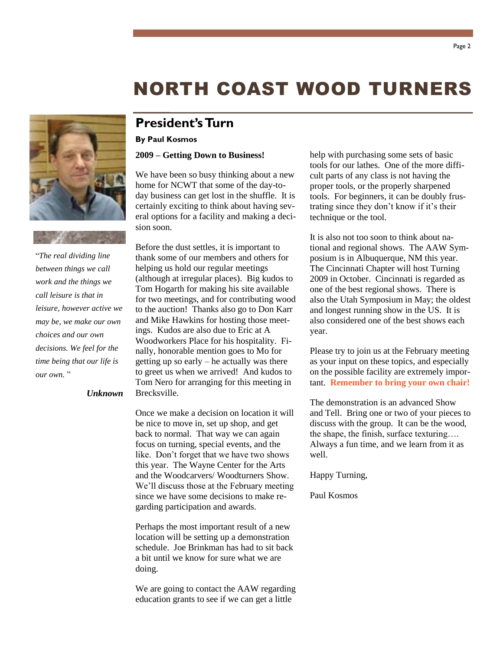"*The real dividing line between things we call work and the things we call leisure is that in leisure, however active we may be, we make our own choices and our own decisions. We feel for the time being that our life is our own.* "

#### *Unknown*

**President's Turn**

#### **By Paul Kosmos**

#### **2009 – Getting Down to Business!**

We have been so busy thinking about a new home for NCWT that some of the day-today business can get lost in the shuffle. It is certainly exciting to think about having several options for a facility and making a decision soon.

Before the dust settles, it is important to thank some of our members and others for helping us hold our regular meetings (although at irregular places). Big kudos to Tom Hogarth for making his site available for two meetings, and for contributing wood to the auction! Thanks also go to Don Karr and Mike Hawkins for hosting those meetings. Kudos are also due to Eric at A Woodworkers Place for his hospitality. Finally, honorable mention goes to Mo for getting up so early – he actually was there to greet us when we arrived! And kudos to Tom Nero for arranging for this meeting in Brecksville.

Once we make a decision on location it will be nice to move in, set up shop, and get back to normal. That way we can again focus on turning, special events, and the like. Don't forget that we have two shows this year. The Wayne Center for the Arts and the Woodcarvers/ Woodturners Show. We'll discuss those at the February meeting since we have some decisions to make regarding participation and awards.

Perhaps the most important result of a new location will be setting up a demonstration schedule. Joe Brinkman has had to sit back a bit until we know for sure what we are doing.

We are going to contact the AAW regarding education grants to see if we can get a little

help with purchasing some sets of basic tools for our lathes. One of the more difficult parts of any class is not having the proper tools, or the properly sharpened tools. For beginners, it can be doubly frustrating since they don't know if it's their technique or the tool.

It is also not too soon to think about national and regional shows. The AAW Symposium is in Albuquerque, NM this year. The Cincinnati Chapter will host Turning 2009 in October. Cincinnati is regarded as one of the best regional shows. There is also the Utah Symposium in May; the oldest and longest running show in the US. It is also considered one of the best shows each year.

Please try to join us at the February meeting as your input on these topics, and especially on the possible facility are extremely important. **Remember to bring your own chair!**

The demonstration is an advanced Show and Tell. Bring one or two of your pieces to discuss with the group. It can be the wood, the shape, the finish, surface texturing…. Always a fun time, and we learn from it as well.

Happy Turning,

Paul Kosmos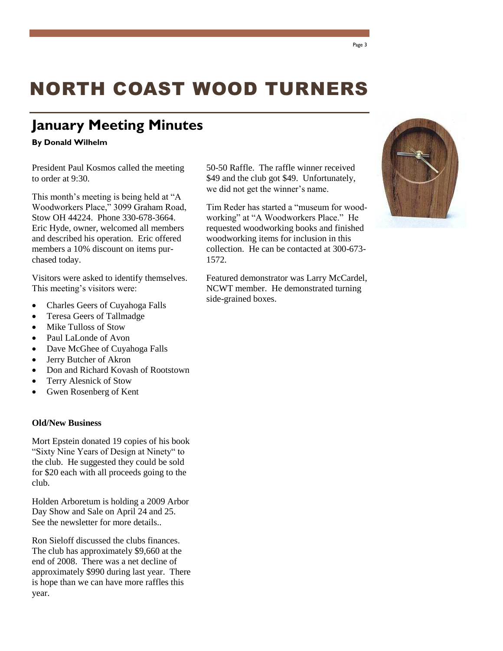# **January Meeting Minutes**

#### **By Donald Wilhelm**

President Paul Kosmos called the meeting to order at 9:30.

This month's meeting is being held at "A Woodworkers Place," 3099 Graham Road, Stow OH 44224. Phone 330-678-3664. Eric Hyde, owner, welcomed all members and described his operation. Eric offered members a 10% discount on items purchased today.

Visitors were asked to identify themselves. This meeting's visitors were:

- Charles Geers of Cuyahoga Falls
- Teresa Geers of Tallmadge
- Mike Tulloss of Stow
- Paul LaLonde of Avon
- Dave McGhee of Cuyahoga Falls
- Jerry Butcher of Akron
- Don and Richard Kovash of Rootstown
- Terry Alesnick of Stow
- Gwen Rosenberg of Kent

#### **Old/New Business**

Mort Epstein donated 19 copies of his book "Sixty Nine Years of Design at Ninety" to the club. He suggested they could be sold for \$20 each with all proceeds going to the club.

Holden Arboretum is holding a 2009 Arbor Day Show and Sale on April 24 and 25. See the newsletter for more details..

Ron Sieloff discussed the clubs finances. The club has approximately \$9,660 at the end of 2008. There was a net decline of approximately \$990 during last year. There is hope than we can have more raffles this year.

50-50 Raffle. The raffle winner received \$49 and the club got \$49. Unfortunately, we did not get the winner's name.

Tim Reder has started a "museum for woodworking" at "A Woodworkers Place." He requested woodworking books and finished woodworking items for inclusion in this collection. He can be contacted at 300-673- 1572.

Featured demonstrator was Larry McCardel, NCWT member. He demonstrated turning side-grained boxes.

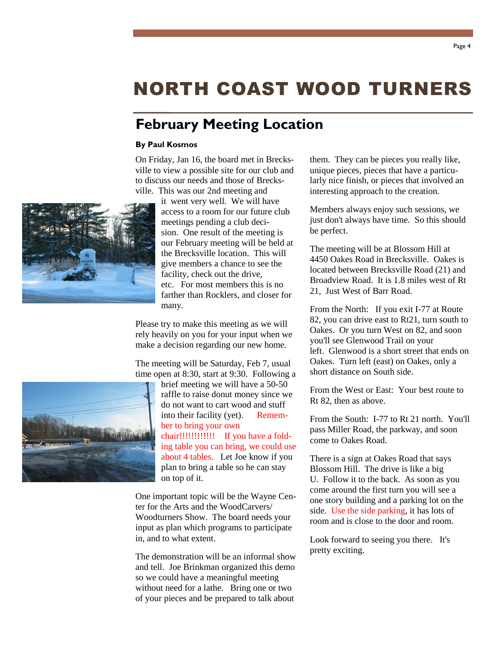# **February Meeting Location**

#### **By Paul Kosmos**

On Friday, Jan 16, the board met in Brecksville to view a possible site for our club and to discuss our needs and those of Brecksville. This was our 2nd meeting and

> it went very well. We will have access to a room for our future club meetings pending a club decision. One result of the meeting is our February meeting will be held at the Brecksville location. This will give members a chance to see the facility, check out the drive, etc. For most members this is no farther than Rocklers, and closer for many.

Please try to make this meeting as we will rely heavily on you for your input when we make a decision regarding our new home.

The meeting will be Saturday, Feb 7, usual time open at 8:30, start at 9:30. Following a

brief meeting we will have a 50-50 raffle to raise donut money since we do not want to cart wood and stuff into their facility (yet). Remember to bring your own chair!!!!!!!!!!!! If you have a folding table you can bring, we could use about 4 tables. Let Joe know if you plan to bring a table so he can stay on top of it.

One important topic will be the Wayne Center for the Arts and the WoodCarvers/ Woodturners Show. The board needs your input as plan which programs to participate in, and to what extent.

The demonstration will be an informal show and tell. Joe Brinkman organized this demo so we could have a meaningful meeting without need for a lathe. Bring one or two of your pieces and be prepared to talk about

them. They can be pieces you really like, unique pieces, pieces that have a particularly nice finish, or pieces that involved an interesting approach to the creation.

Members always enjoy such sessions, we just don't always have time. So this should be perfect.

The meeting will be at Blossom Hill at 4450 Oakes Road in Brecksville. Oakes is located between Brecksville Road (21) and Broadview Road. It is 1.8 miles west of Rt 21, Just West of Barr Road.

From the North: If you exit I-77 at Route 82, you can drive east to Rt21, turn south to Oakes. Or you turn West on 82, and soon you'll see Glenwood Trail on your left. Glenwood is a short street that ends on Oakes. Turn left (east) on Oakes, only a short distance on South side.

From the West or East: Your best route to Rt 82, then as above.

From the South: I-77 to Rt 21 north. You'll pass Miller Road, the parkway, and soon come to Oakes Road.

There is a sign at Oakes Road that says Blossom Hill. The drive is like a big U. Follow it to the back. As soon as you come around the first turn you will see a one story building and a parking lot on the side. Use the side parking, it has lots of room and is close to the door and room.

Look forward to seeing you there. It's pretty exciting.



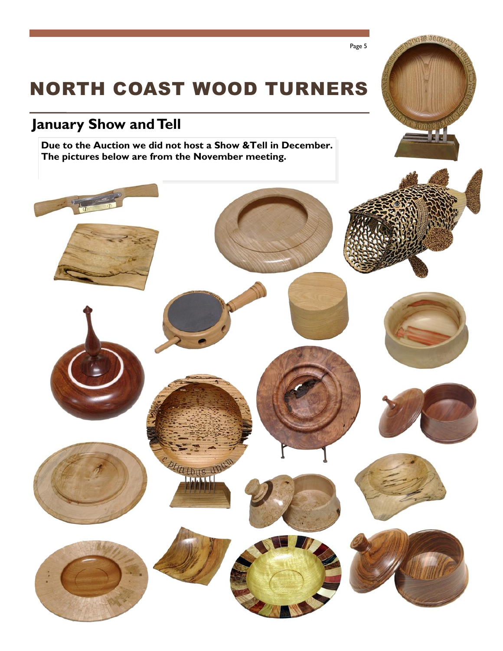# **January Show and Tell**

**Due to the Auction we did not host a Show &Tell in December. The pictures below are from the November meeting.**